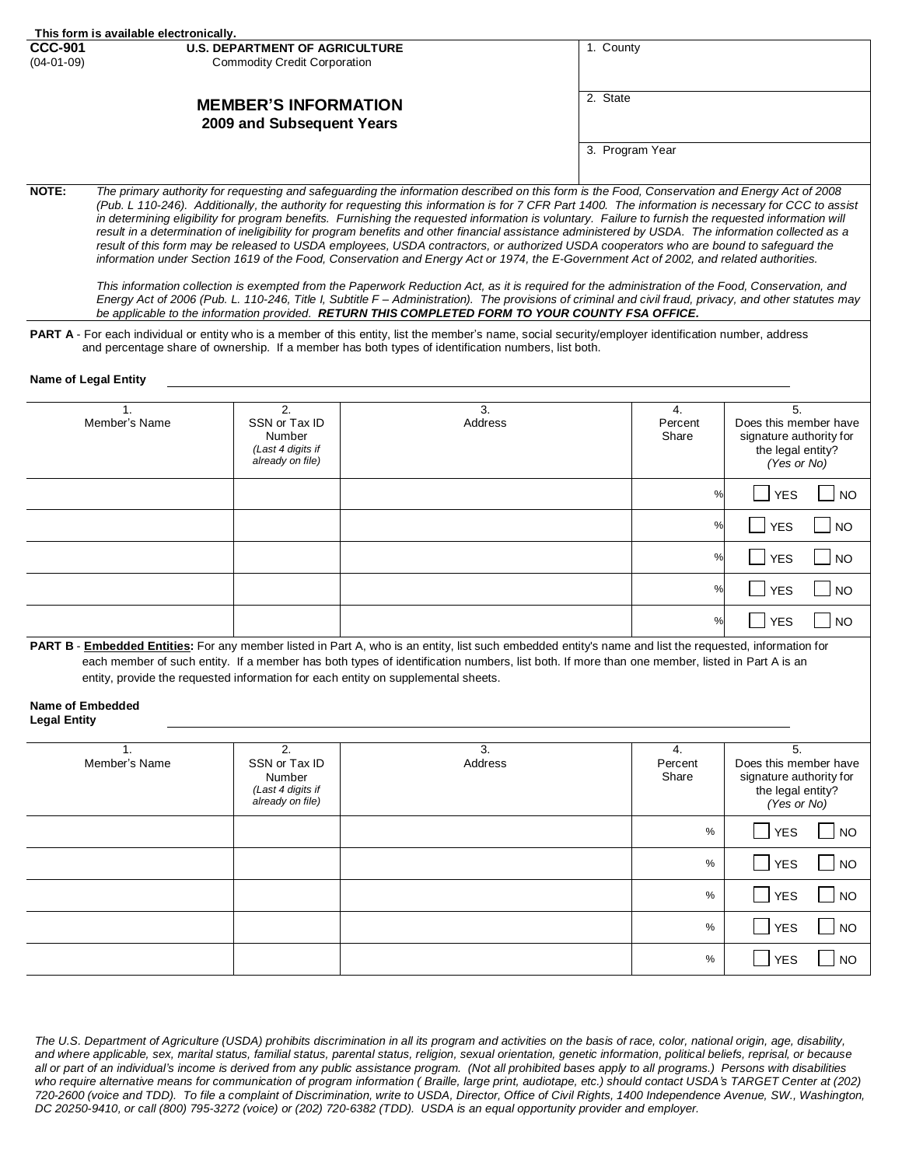| This form is available electronically.                   |                                       |                 |  |  |  |  |
|----------------------------------------------------------|---------------------------------------|-----------------|--|--|--|--|
| <b>CCC-901</b>                                           | <b>U.S. DEPARTMENT OF AGRICULTURE</b> | 1. County       |  |  |  |  |
| $(04-01-09)$                                             | <b>Commodity Credit Corporation</b>   |                 |  |  |  |  |
| <b>MEMBER'S INFORMATION</b><br>2009 and Subsequent Years |                                       | 2. State        |  |  |  |  |
|                                                          |                                       | 3. Program Year |  |  |  |  |

**NOTE:** *The primary authority for requesting and safeguarding the information described on this form is the Food, Conservation and Energy Act of 2008 (Pub. L 110-246). Additionally, the authority for requesting this information is for 7 CFR Part 1400. The information is necessary for CCC to assist*  in determining eligibility for program benefits. Furnishing the requested information is voluntary. Failure to furnish the requested information will result in a determination of ineligibility for program benefits and other financial assistance administered by USDA. The information collected as a result of this form may be released to USDA employees, USDA contractors, or authorized USDA cooperators who are bound to safeguard the *information under Section 1619 of the Food, Conservation and Energy Act or 1974, the E-Government Act of 2002, and related authorities.*

*This information collection is exempted from the Paperwork Reduction Act, as it is required for the administration of the Food, Conservation, and Energy Act of 2006 (Pub. L. 110-246, Title I, Subtitle F – Administration). The provisions of criminal and civil fraud, privacy, and other statutes may be applicable to the information provided. RETURN THIS COMPLETED FORM TO YOUR COUNTY FSA OFFICE.*

PART A - For each individual or entity who is a member of this entity, list the member's name, social security/employer identification number, address and percentage share of ownership. If a member has both types of identification numbers, list both.

#### **Name of Legal Entity**

| Member's Name | $\mathcal{P}_{\cdot}$<br>SSN or Tax ID<br>Number<br>(Last 4 digits if<br>already on file) | 3.<br>Address | 4.<br>Percent<br>Share | 5.<br>Does this member have<br>signature authority for<br>the legal entity?<br>(Yes or No) |
|---------------|-------------------------------------------------------------------------------------------|---------------|------------------------|--------------------------------------------------------------------------------------------|
|               |                                                                                           |               | $\%$                   | $\Box$ NO<br><b>YES</b>                                                                    |
|               |                                                                                           |               | %                      | $\Box$ NO<br><b>YES</b>                                                                    |
|               |                                                                                           |               | %                      | $\Box$ NO<br>YES                                                                           |
|               |                                                                                           |               | %                      | $\overline{\phantom{a}}$ NO<br>$\blacksquare$ YES                                          |
|               |                                                                                           |               | $\%$                   | $\Box$ NO<br><b>YES</b>                                                                    |

PART B - **Embedded Entities**: For any member listed in Part A, who is an entity, list such embedded entity's name and list the requested, information for each member of such entity. If a member has both types of identification numbers, list both. If more than one member, listed in Part A is an entity, provide the requested information for each entity on supplemental sheets.

# **Name of Embedded**

| Member's Name | 2.<br>SSN or Tax ID<br>Number<br>(Last 4 digits if<br>already on file) | 3.<br>Address | 4.<br>Percent<br>Share | 5.<br>Does this member have<br>signature authority for<br>the legal entity?<br>(Yes or No) |
|---------------|------------------------------------------------------------------------|---------------|------------------------|--------------------------------------------------------------------------------------------|
|               |                                                                        |               | %                      | $\Box$<br>  NO<br><b>YES</b>                                                               |
|               |                                                                        |               | %                      | । YES<br>  NO                                                                              |
|               |                                                                        |               | %                      | YES<br>$\overline{\phantom{a}}$ NO                                                         |
|               |                                                                        |               | %                      | $\Box$ YES<br>  NO                                                                         |
|               |                                                                        |               | %                      | <b>YES</b><br><b>NO</b>                                                                    |

*The U.S. Department of Agriculture (USDA) prohibits discrimination in all its program and activities on the basis of race, color, national origin, age, disability, and where applicable, sex, marital status, familial status, parental status, religion, sexual orientation, genetic information, political beliefs, reprisal, or because all or part of an individual's income is derived from any public assistance program. (Not all prohibited bases apply to all programs.) Persons with disabilities who require alternative means for communication of program information ( Braille, large print, audiotape, etc.) should contact USDA's TARGET Center at (202) 720-2600 (voice and TDD). To file a complaint of Discrimination, write to USDA, Director, Office of Civil Rights, 1400 Independence Avenue, SW., Washington, DC 20250-9410, or call (800) 795-3272 (voice) or (202) 720-6382 (TDD). USDA is an equal opportunity provider and employer.*